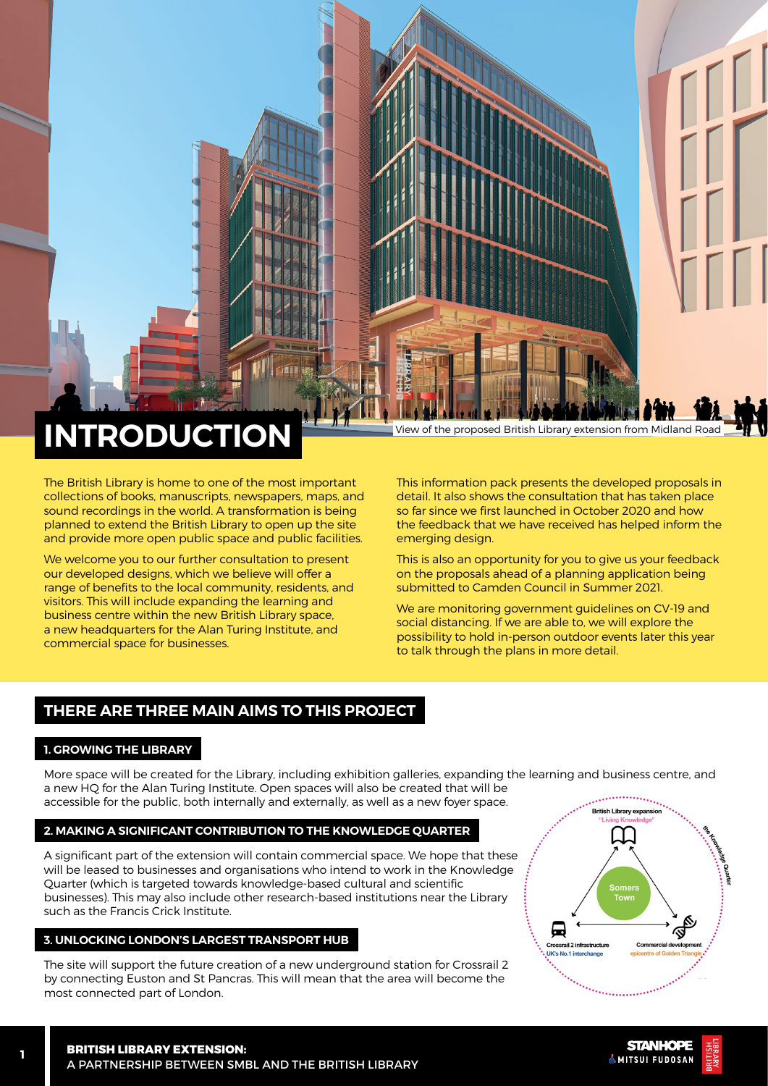# **INTRODUCTION**

The British Library is home to one of the most important collections of books, manuscripts, newspapers, maps, and sound recordings in the world. A transformation is being planned to extend the British Library to open up the site and provide more open public space and public facilities.

We welcome you to our further consultation to present our developed designs, which we believe will offer a range of benefits to the local community, residents, and visitors. This will include expanding the learning and business centre within the new British Library space, a new headquarters for the Alan Turing Institute, and commercial space for businesses.

This information pack presents the developed proposals in detail. It also shows the consultation that has taken place so far since we first launched in October 2020 and how the feedback that we have received has helped inform the emerging design.

This is also an opportunity for you to give us your feedback on the proposals ahead of a planning application being submitted to Camden Council in Summer 2021.

We are monitoring government guidelines on CV-19 and social distancing. If we are able to, we will explore the possibility to hold in-person outdoor events later this year to talk through the plans in more detail.

# **THERE ARE THREE MAIN AIMS TO THIS PROJECT**

## **1. GROWING THE LIBRARY**

More space will be created for the Library, including exhibition galleries, expanding the learning and business centre, and a new HQ for the Alan Turing Institute. Open spaces will also be created that will be accessible for the public, both internally and externally, as well as a new foyer space.

## **2. MAKING A SIGNIFICANT CONTRIBUTION TO THE KNOWLEDGE QUARTER**

A significant part of the extension will contain commercial space. We hope that these will be leased to businesses and organisations who intend to work in the Knowledge Quarter (which is targeted towards knowledge-based cultural and scientific businesses). This may also include other research-based institutions near the Library such as the Francis Crick Institute.

### **3. UNLOCKING LONDON'S LARGEST TRANSPORT HUB**

The site will support the future creation of a new underground station for Crossrail 2 by connecting Euston and St Pancras. This will mean that the area will become the most connected part of London.



**STANHOPE KMITSUI FUDOSAN**